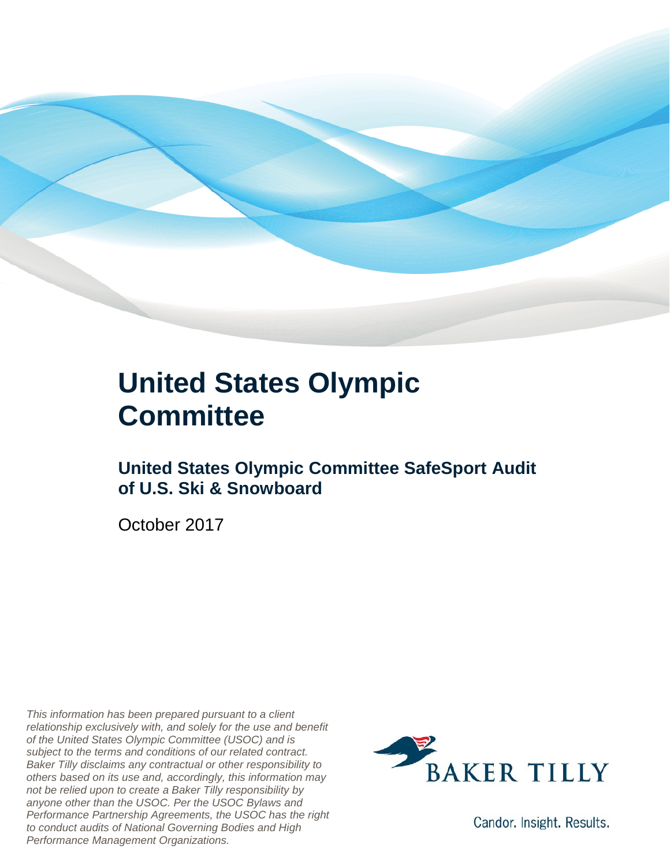

#### **United States Olympic Committee**

#### **United States Olympic Committee SafeSport Audit of U.S. Ski & Snowboard**

October 2017

*This information has been prepared pursuant to a client relationship exclusively with, and solely for the use and benefit of the United States Olympic Committee (USOC) and is subject to the terms and conditions of our related contract. Baker Tilly disclaims any contractual or other responsibility to others based on its use and, accordingly, this information may not be relied upon to create a Baker Tilly responsibility by anyone other than the USOC. Per the USOC Bylaws and Performance Partnership Agreements, the USOC has the right to conduct audits of National Governing Bodies and High Performance Management Organizations.*



Candor. Insight. Results.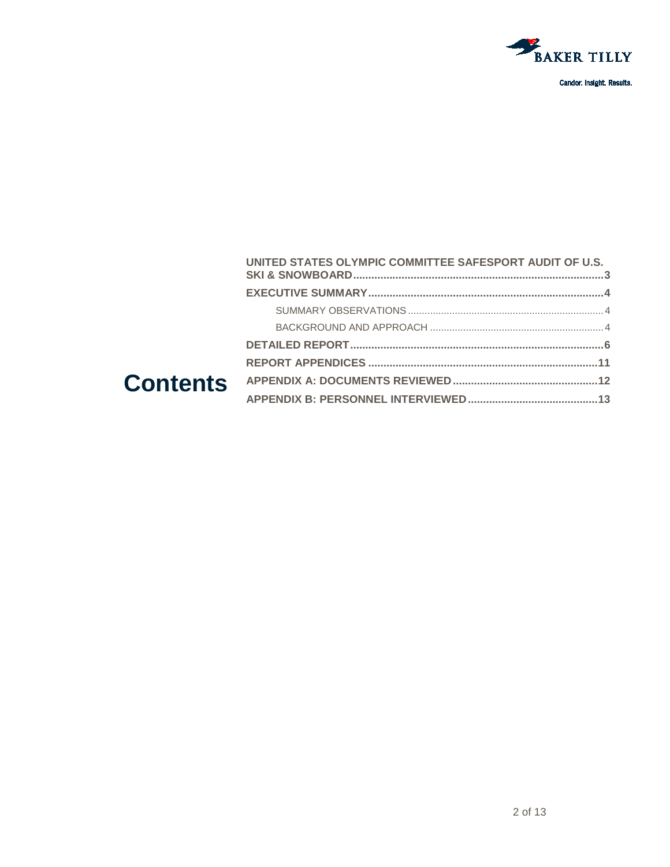

Candor. Insight. Results.

| UNITED STATES OLYMPIC COMMITTEE SAFESPORT AUDIT OF U.S. |  |
|---------------------------------------------------------|--|
|                                                         |  |
|                                                         |  |
|                                                         |  |
|                                                         |  |
|                                                         |  |
|                                                         |  |
|                                                         |  |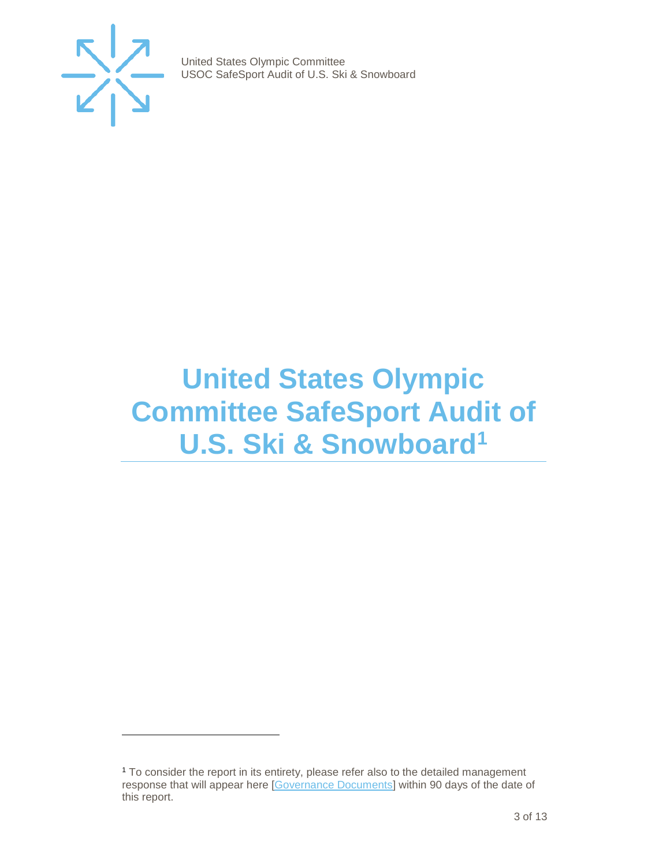

j

United States Olympic Committee USOC SafeSport Audit of U.S. Ski & Snowboard

### <span id="page-2-0"></span>**United States Olympic Committee SafeSport Audit of U.S. Ski & Snowboard[1](#page-2-1)**

<span id="page-2-1"></span><sup>1</sup> To consider the report in its entirety, please refer also to the detailed management response that will appear here [\[Governance Documents\]](https://www.teamusa.org/Footer/Legal/Governance-Documents) within 90 days of the date of this report.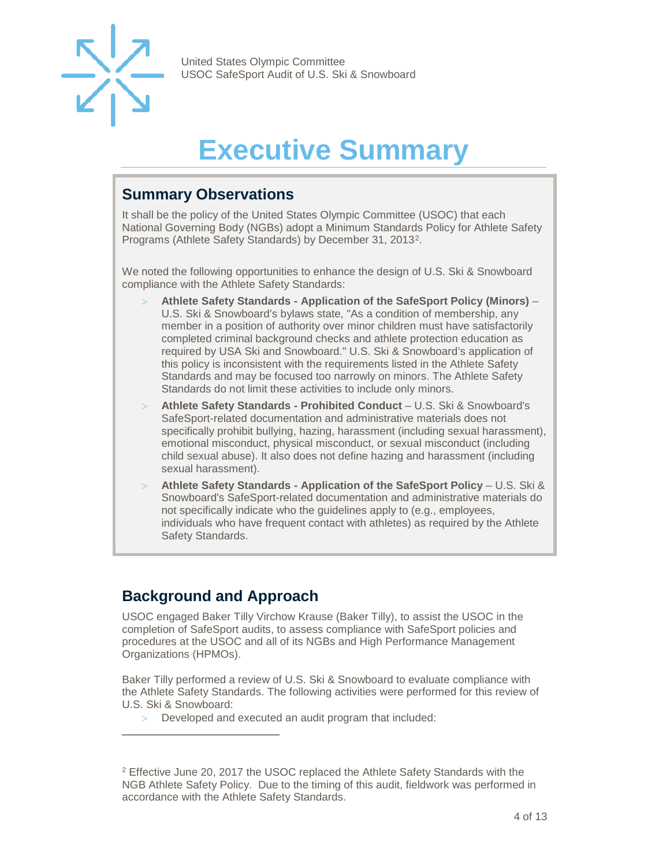

## **Executive Summary**

#### <span id="page-3-1"></span><span id="page-3-0"></span>**Summary Observations**

It shall be the policy of the United States Olympic Committee (USOC) that each National Governing Body (NGBs) adopt a Minimum Standards Policy for Athlete Safety Programs (Athlete Safety Standards) by December 31, 2013[2](#page-3-3).

We noted the following opportunities to enhance the design of U.S. Ski & Snowboard compliance with the Athlete Safety Standards:

- > **Athlete Safety Standards - Application of the SafeSport Policy (Minors)**  U.S. Ski & Snowboard's bylaws state, "As a condition of membership, any member in a position of authority over minor children must have satisfactorily completed criminal background checks and athlete protection education as required by USA Ski and Snowboard." U.S. Ski & Snowboard's application of this policy is inconsistent with the requirements listed in the Athlete Safety Standards and may be focused too narrowly on minors. The Athlete Safety Standards do not limit these activities to include only minors.
- > **Athlete Safety Standards - Prohibited Conduct**  U.S. Ski & Snowboard's SafeSport-related documentation and administrative materials does not specifically prohibit bullying, hazing, harassment (including sexual harassment), emotional misconduct, physical misconduct, or sexual misconduct (including child sexual abuse). It also does not define hazing and harassment (including sexual harassment).
- > **Athlete Safety Standards - Application of the SafeSport Policy**  U.S. Ski & Snowboard's SafeSport-related documentation and administrative materials do not specifically indicate who the guidelines apply to (e.g., employees, individuals who have frequent contact with athletes) as required by the Athlete Safety Standards.

#### <span id="page-3-2"></span>**Background and Approach**

-

USOC engaged Baker Tilly Virchow Krause (Baker Tilly), to assist the USOC in the completion of SafeSport audits, to assess compliance with SafeSport policies and procedures at the USOC and all of its NGBs and High Performance Management Organizations (HPMOs).

Baker Tilly performed a review of U.S. Ski & Snowboard to evaluate compliance with the Athlete Safety Standards. The following activities were performed for this review of U.S. Ski & Snowboard:

> Developed and executed an audit program that included:

<span id="page-3-3"></span><sup>2</sup> Effective June 20, 2017 the USOC replaced the Athlete Safety Standards with the NGB Athlete Safety Policy. Due to the timing of this audit, fieldwork was performed in accordance with the Athlete Safety Standards.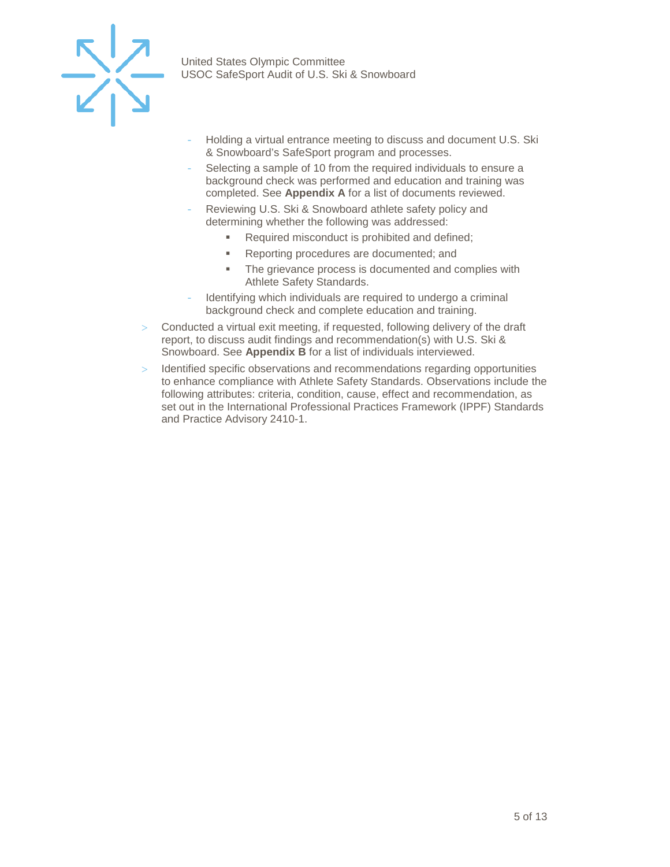

- Holding a virtual entrance meeting to discuss and document U.S. Ski & Snowboard's SafeSport program and processes.
- Selecting a sample of 10 from the required individuals to ensure a background check was performed and education and training was completed. See **Appendix A** for a list of documents reviewed.
- Reviewing U.S. Ski & Snowboard athlete safety policy and determining whether the following was addressed:
	- Required misconduct is prohibited and defined;
	- Reporting procedures are documented; and
	- **The grievance process is documented and complies with** Athlete Safety Standards.
- Identifying which individuals are required to undergo a criminal background check and complete education and training.
- > Conducted a virtual exit meeting, if requested, following delivery of the draft report, to discuss audit findings and recommendation(s) with U.S. Ski & Snowboard. See **Appendix B** for a list of individuals interviewed.
- > Identified specific observations and recommendations regarding opportunities to enhance compliance with Athlete Safety Standards. Observations include the following attributes: criteria, condition, cause, effect and recommendation, as set out in the International Professional Practices Framework (IPPF) Standards and Practice Advisory 2410-1.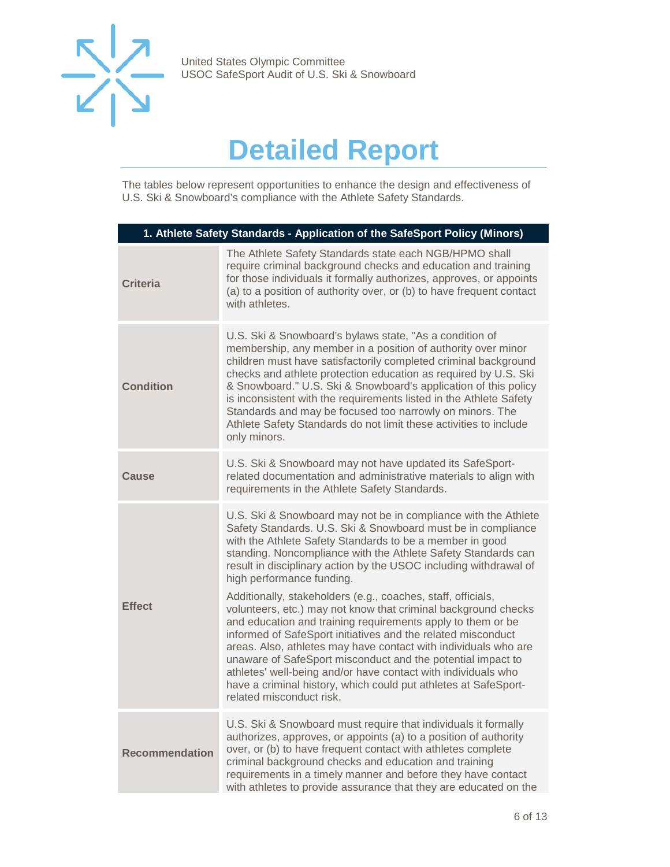

## **Detailed Report**

<span id="page-5-0"></span>The tables below represent opportunities to enhance the design and effectiveness of U.S. Ski & Snowboard's compliance with the Athlete Safety Standards.

| 1. Athlete Safety Standards - Application of the SafeSport Policy (Minors) |                                                                                                                                                                                                                                                                                                                                                                                                                                                                                                                                                                 |
|----------------------------------------------------------------------------|-----------------------------------------------------------------------------------------------------------------------------------------------------------------------------------------------------------------------------------------------------------------------------------------------------------------------------------------------------------------------------------------------------------------------------------------------------------------------------------------------------------------------------------------------------------------|
| <b>Criteria</b>                                                            | The Athlete Safety Standards state each NGB/HPMO shall<br>require criminal background checks and education and training<br>for those individuals it formally authorizes, approves, or appoints<br>(a) to a position of authority over, or (b) to have frequent contact<br>with athletes                                                                                                                                                                                                                                                                         |
| <b>Condition</b>                                                           | U.S. Ski & Snowboard's bylaws state, "As a condition of<br>membership, any member in a position of authority over minor<br>children must have satisfactorily completed criminal background<br>checks and athlete protection education as required by U.S. Ski<br>& Snowboard." U.S. Ski & Snowboard's application of this policy<br>is inconsistent with the requirements listed in the Athlete Safety<br>Standards and may be focused too narrowly on minors. The<br>Athlete Safety Standards do not limit these activities to include<br>only minors.         |
| Cause                                                                      | U.S. Ski & Snowboard may not have updated its SafeSport-<br>related documentation and administrative materials to align with<br>requirements in the Athlete Safety Standards.                                                                                                                                                                                                                                                                                                                                                                                   |
| <b>Effect</b>                                                              | U.S. Ski & Snowboard may not be in compliance with the Athlete<br>Safety Standards. U.S. Ski & Snowboard must be in compliance<br>with the Athlete Safety Standards to be a member in good<br>standing. Noncompliance with the Athlete Safety Standards can<br>result in disciplinary action by the USOC including withdrawal of<br>high performance funding.                                                                                                                                                                                                   |
|                                                                            | Additionally, stakeholders (e.g., coaches, staff, officials,<br>volunteers, etc.) may not know that criminal background checks<br>and education and training requirements apply to them or be<br>informed of SafeSport initiatives and the related misconduct<br>areas. Also, athletes may have contact with individuals who are<br>unaware of SafeSport misconduct and the potential impact to<br>athletes' well-being and/or have contact with individuals who<br>have a criminal history, which could put athletes at SafeSport-<br>related misconduct risk. |
| <b>Recommendation</b>                                                      | U.S. Ski & Snowboard must require that individuals it formally<br>authorizes, approves, or appoints (a) to a position of authority<br>over, or (b) to have frequent contact with athletes complete<br>criminal background checks and education and training<br>requirements in a timely manner and before they have contact<br>with athletes to provide assurance that they are educated on the                                                                                                                                                                 |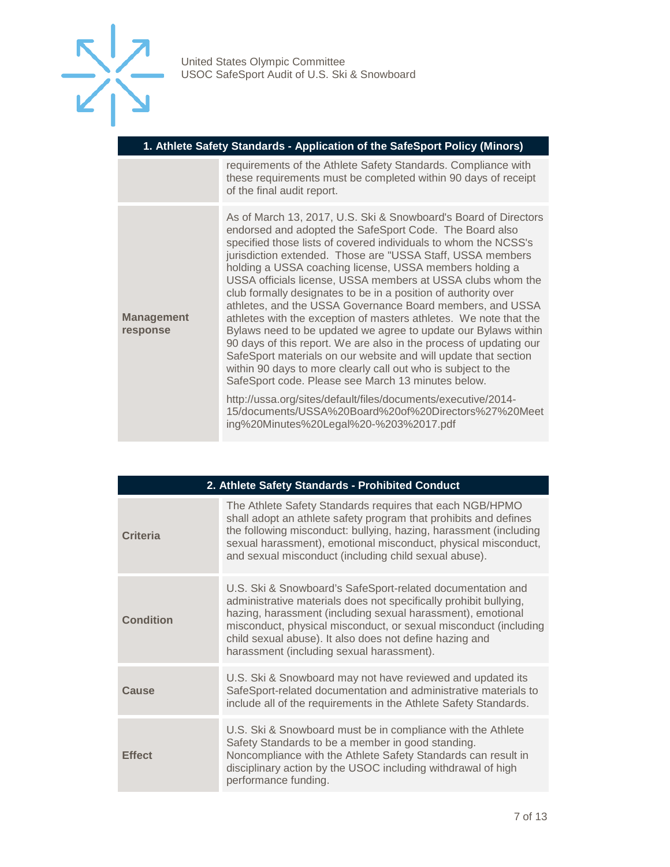

| 1. Athlete Safety Standards - Application of the SafeSport Policy (Minors) |                                                                                                                                                                                                                                                                                                                                                                                                                                                                                                                                                                                                                                                                                                                                                                                                                                                                                                                                                                                                                                                                                                |
|----------------------------------------------------------------------------|------------------------------------------------------------------------------------------------------------------------------------------------------------------------------------------------------------------------------------------------------------------------------------------------------------------------------------------------------------------------------------------------------------------------------------------------------------------------------------------------------------------------------------------------------------------------------------------------------------------------------------------------------------------------------------------------------------------------------------------------------------------------------------------------------------------------------------------------------------------------------------------------------------------------------------------------------------------------------------------------------------------------------------------------------------------------------------------------|
|                                                                            | requirements of the Athlete Safety Standards. Compliance with<br>these requirements must be completed within 90 days of receipt<br>of the final audit report.                                                                                                                                                                                                                                                                                                                                                                                                                                                                                                                                                                                                                                                                                                                                                                                                                                                                                                                                  |
| <b>Management</b><br>response                                              | As of March 13, 2017, U.S. Ski & Snowboard's Board of Directors<br>endorsed and adopted the SafeSport Code. The Board also<br>specified those lists of covered individuals to whom the NCSS's<br>jurisdiction extended. Those are "USSA Staff, USSA members<br>holding a USSA coaching license, USSA members holding a<br>USSA officials license, USSA members at USSA clubs whom the<br>club formally designates to be in a position of authority over<br>athletes, and the USSA Governance Board members, and USSA<br>athletes with the exception of masters athletes. We note that the<br>Bylaws need to be updated we agree to update our Bylaws within<br>90 days of this report. We are also in the process of updating our<br>SafeSport materials on our website and will update that section<br>within 90 days to more clearly call out who is subject to the<br>SafeSport code. Please see March 13 minutes below.<br>http://ussa.org/sites/default/files/documents/executive/2014-<br>15/documents/USSA%20Board%20of%20Directors%27%20Meet<br>ing%20Minutes%20Legal%20-%203%2017.pdf |

| 2. Athlete Safety Standards - Prohibited Conduct |                                                                                                                                                                                                                                                                                                                                                                            |
|--------------------------------------------------|----------------------------------------------------------------------------------------------------------------------------------------------------------------------------------------------------------------------------------------------------------------------------------------------------------------------------------------------------------------------------|
| <b>Criteria</b>                                  | The Athlete Safety Standards requires that each NGB/HPMO<br>shall adopt an athlete safety program that prohibits and defines<br>the following misconduct: bullying, hazing, harassment (including<br>sexual harassment), emotional misconduct, physical misconduct,<br>and sexual misconduct (including child sexual abuse).                                               |
| <b>Condition</b>                                 | U.S. Ski & Snowboard's SafeSport-related documentation and<br>administrative materials does not specifically prohibit bullying,<br>hazing, harassment (including sexual harassment), emotional<br>misconduct, physical misconduct, or sexual misconduct (including<br>child sexual abuse). It also does not define hazing and<br>harassment (including sexual harassment). |
| Cause                                            | U.S. Ski & Snowboard may not have reviewed and updated its<br>SafeSport-related documentation and administrative materials to<br>include all of the requirements in the Athlete Safety Standards.                                                                                                                                                                          |
| <b>Effect</b>                                    | U.S. Ski & Snowboard must be in compliance with the Athlete<br>Safety Standards to be a member in good standing.<br>Noncompliance with the Athlete Safety Standards can result in<br>disciplinary action by the USOC including withdrawal of high<br>performance funding.                                                                                                  |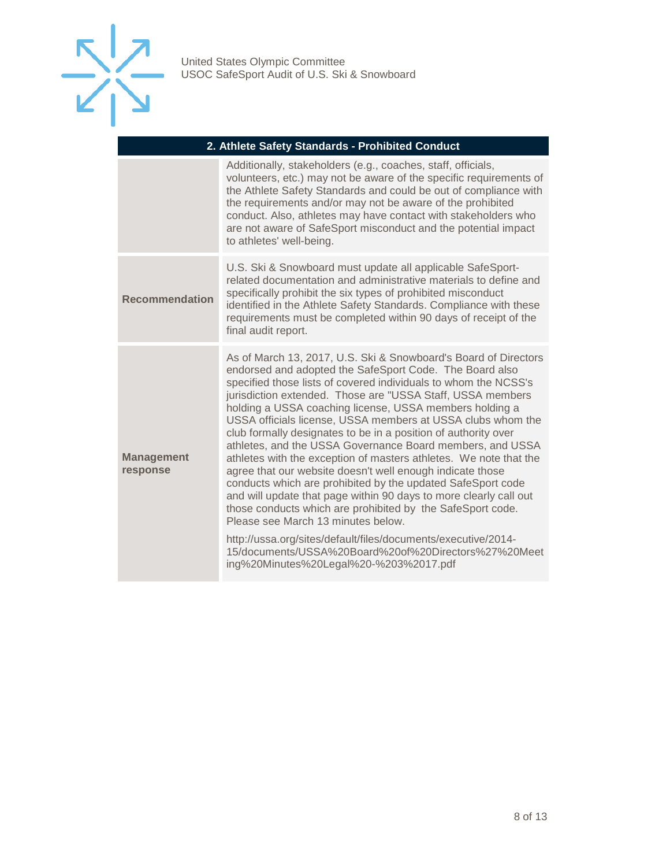

| 2. Athlete Safety Standards - Prohibited Conduct |                                                                                                                                                                                                                                                                                                                                                                                                                                                                                                                                                                                                                                                                                                                                                                                                                                                                                                                                                                                                                                                                   |
|--------------------------------------------------|-------------------------------------------------------------------------------------------------------------------------------------------------------------------------------------------------------------------------------------------------------------------------------------------------------------------------------------------------------------------------------------------------------------------------------------------------------------------------------------------------------------------------------------------------------------------------------------------------------------------------------------------------------------------------------------------------------------------------------------------------------------------------------------------------------------------------------------------------------------------------------------------------------------------------------------------------------------------------------------------------------------------------------------------------------------------|
|                                                  | Additionally, stakeholders (e.g., coaches, staff, officials,<br>volunteers, etc.) may not be aware of the specific requirements of<br>the Athlete Safety Standards and could be out of compliance with<br>the requirements and/or may not be aware of the prohibited<br>conduct. Also, athletes may have contact with stakeholders who<br>are not aware of SafeSport misconduct and the potential impact<br>to athletes' well-being.                                                                                                                                                                                                                                                                                                                                                                                                                                                                                                                                                                                                                              |
| <b>Recommendation</b>                            | U.S. Ski & Snowboard must update all applicable SafeSport-<br>related documentation and administrative materials to define and<br>specifically prohibit the six types of prohibited misconduct<br>identified in the Athlete Safety Standards. Compliance with these<br>requirements must be completed within 90 days of receipt of the<br>final audit report.                                                                                                                                                                                                                                                                                                                                                                                                                                                                                                                                                                                                                                                                                                     |
| <b>Management</b><br>response                    | As of March 13, 2017, U.S. Ski & Snowboard's Board of Directors<br>endorsed and adopted the SafeSport Code. The Board also<br>specified those lists of covered individuals to whom the NCSS's<br>jurisdiction extended. Those are "USSA Staff, USSA members<br>holding a USSA coaching license, USSA members holding a<br>USSA officials license, USSA members at USSA clubs whom the<br>club formally designates to be in a position of authority over<br>athletes, and the USSA Governance Board members, and USSA<br>athletes with the exception of masters athletes. We note that the<br>agree that our website doesn't well enough indicate those<br>conducts which are prohibited by the updated SafeSport code<br>and will update that page within 90 days to more clearly call out<br>those conducts which are prohibited by the SafeSport code.<br>Please see March 13 minutes below.<br>http://ussa.org/sites/default/files/documents/executive/2014-<br>15/documents/USSA%20Board%20of%20Directors%27%20Meet<br>ing%20Minutes%20Legal%20-%203%2017.pdf |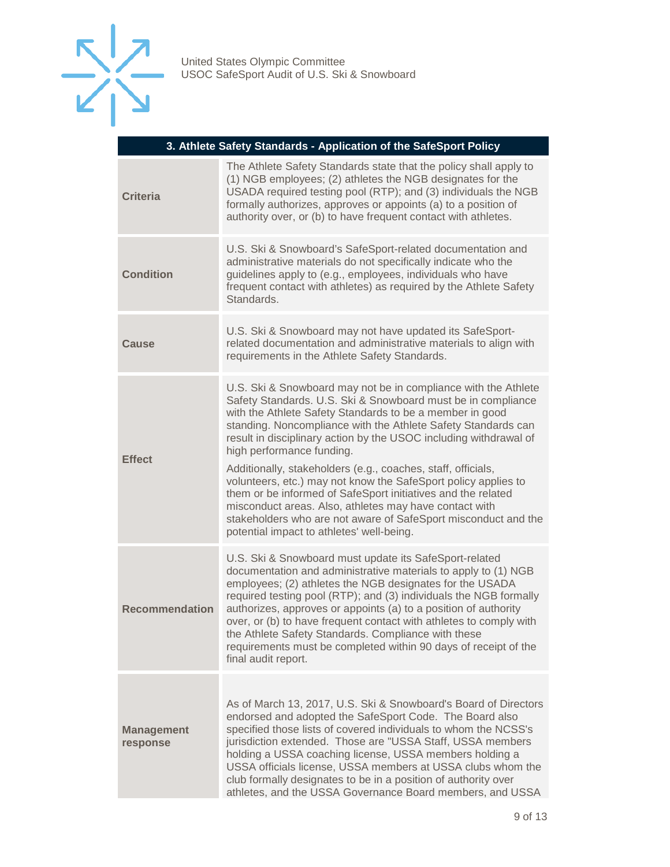

| 3. Athlete Safety Standards - Application of the SafeSport Policy |                                                                                                                                                                                                                                                                                                                                                                                                                                                                                                                                                                                                                                                                                                                                          |
|-------------------------------------------------------------------|------------------------------------------------------------------------------------------------------------------------------------------------------------------------------------------------------------------------------------------------------------------------------------------------------------------------------------------------------------------------------------------------------------------------------------------------------------------------------------------------------------------------------------------------------------------------------------------------------------------------------------------------------------------------------------------------------------------------------------------|
| <b>Criteria</b>                                                   | The Athlete Safety Standards state that the policy shall apply to<br>(1) NGB employees; (2) athletes the NGB designates for the<br>USADA required testing pool (RTP); and (3) individuals the NGB<br>formally authorizes, approves or appoints (a) to a position of<br>authority over, or (b) to have frequent contact with athletes.                                                                                                                                                                                                                                                                                                                                                                                                    |
| <b>Condition</b>                                                  | U.S. Ski & Snowboard's SafeSport-related documentation and<br>administrative materials do not specifically indicate who the<br>guidelines apply to (e.g., employees, individuals who have<br>frequent contact with athletes) as required by the Athlete Safety<br>Standards.                                                                                                                                                                                                                                                                                                                                                                                                                                                             |
| Cause                                                             | U.S. Ski & Snowboard may not have updated its SafeSport-<br>related documentation and administrative materials to align with<br>requirements in the Athlete Safety Standards.                                                                                                                                                                                                                                                                                                                                                                                                                                                                                                                                                            |
| <b>Effect</b>                                                     | U.S. Ski & Snowboard may not be in compliance with the Athlete<br>Safety Standards. U.S. Ski & Snowboard must be in compliance<br>with the Athlete Safety Standards to be a member in good<br>standing. Noncompliance with the Athlete Safety Standards can<br>result in disciplinary action by the USOC including withdrawal of<br>high performance funding.<br>Additionally, stakeholders (e.g., coaches, staff, officials,<br>volunteers, etc.) may not know the SafeSport policy applies to<br>them or be informed of SafeSport initiatives and the related<br>misconduct areas. Also, athletes may have contact with<br>stakeholders who are not aware of SafeSport misconduct and the<br>potential impact to athletes' well-being. |
| <b>Recommendation</b>                                             | U.S. Ski & Snowboard must update its SafeSport-related<br>documentation and administrative materials to apply to (1) NGB<br>employees; (2) athletes the NGB designates for the USADA<br>required testing pool (RTP); and (3) individuals the NGB formally<br>authorizes, approves or appoints (a) to a position of authority<br>over, or (b) to have frequent contact with athletes to comply with<br>the Athlete Safety Standards. Compliance with these<br>requirements must be completed within 90 days of receipt of the<br>final audit report.                                                                                                                                                                                      |
| <b>Management</b><br>response                                     | As of March 13, 2017, U.S. Ski & Snowboard's Board of Directors<br>endorsed and adopted the SafeSport Code. The Board also<br>specified those lists of covered individuals to whom the NCSS's<br>jurisdiction extended. Those are "USSA Staff, USSA members<br>holding a USSA coaching license, USSA members holding a<br>USSA officials license, USSA members at USSA clubs whom the<br>club formally designates to be in a position of authority over<br>athletes, and the USSA Governance Board members, and USSA                                                                                                                                                                                                                     |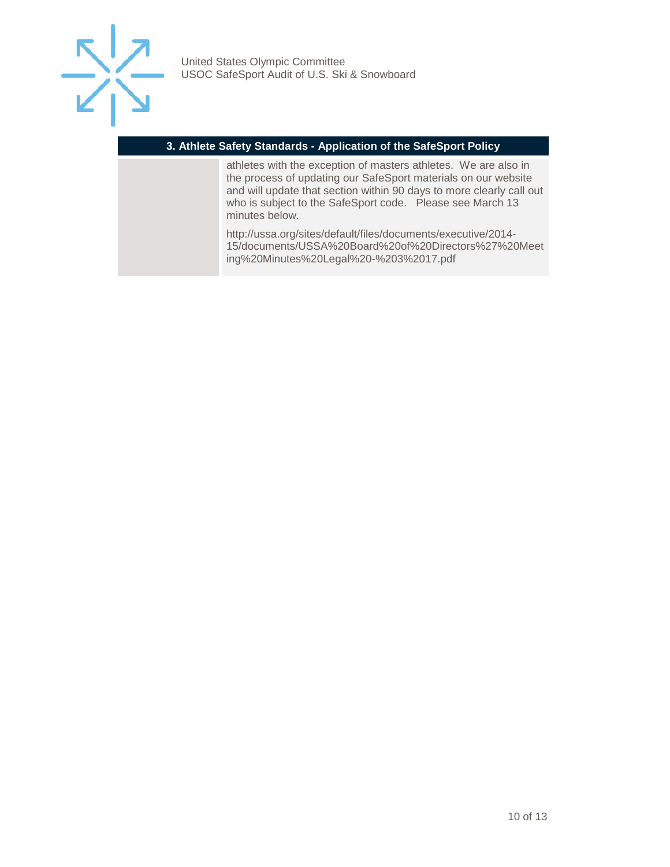

#### **3. Athlete Safety Standards - Application of the SafeSport Policy**

athletes with the exception of masters athletes. We are also in the process of updating our SafeSport materials on our website and will update that section within 90 days to more clearly call out who is subject to the SafeSport code. Please see March 13 minutes below.

[http://ussa.org/sites/default/files/documents/executive/2014-](http://ussa.org/sites/default/files/documents/executive/2014-15/documents/USSA%20Board%20of%20Directors%27%20Meeting%20Minutes%20Legal%20-%203%2017.pdf) [15/documents/USSA%20Board%20of%20Directors%27%20Meet](http://ussa.org/sites/default/files/documents/executive/2014-15/documents/USSA%20Board%20of%20Directors%27%20Meeting%20Minutes%20Legal%20-%203%2017.pdf) [ing%20Minutes%20Legal%20-%203%2017.pdf](http://ussa.org/sites/default/files/documents/executive/2014-15/documents/USSA%20Board%20of%20Directors%27%20Meeting%20Minutes%20Legal%20-%203%2017.pdf)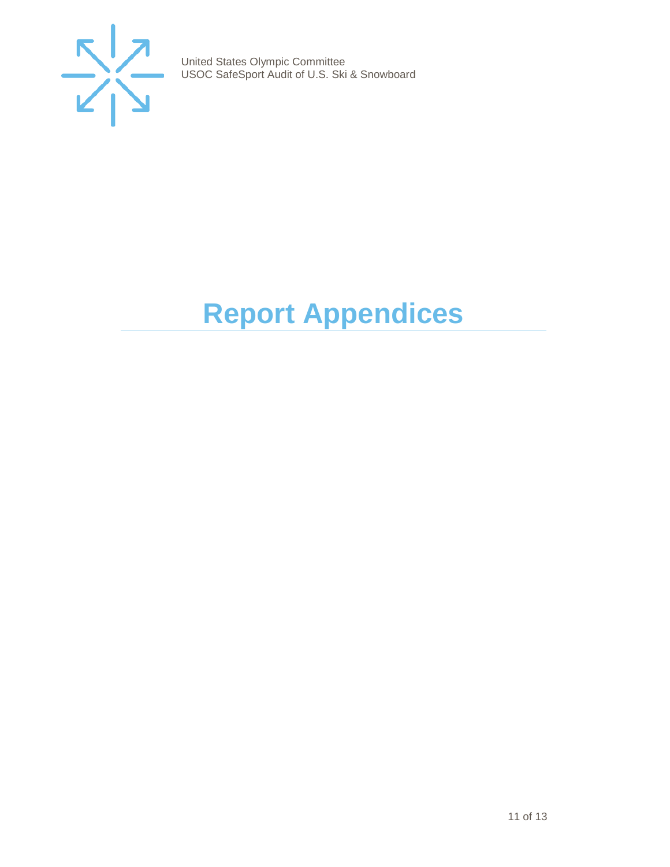

# <span id="page-10-0"></span>**Report Appendices**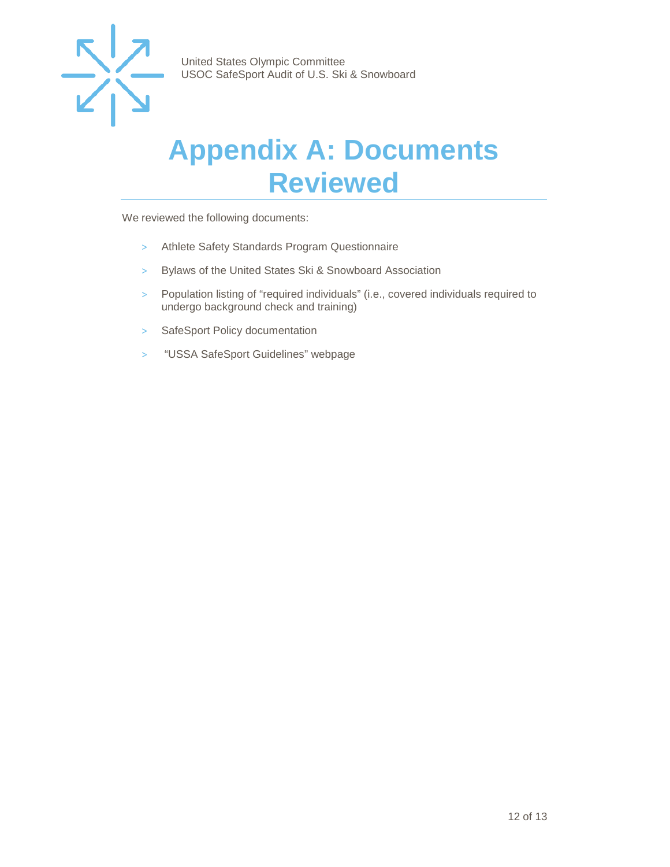

### <span id="page-11-0"></span>**Appendix A: Documents Reviewed**

We reviewed the following documents:

- > Athlete Safety Standards Program Questionnaire
- > Bylaws of the United States Ski & Snowboard Association
- > Population listing of "required individuals" (i.e., covered individuals required to undergo background check and training)
- > SafeSport Policy documentation
- > "USSA SafeSport Guidelines" webpage